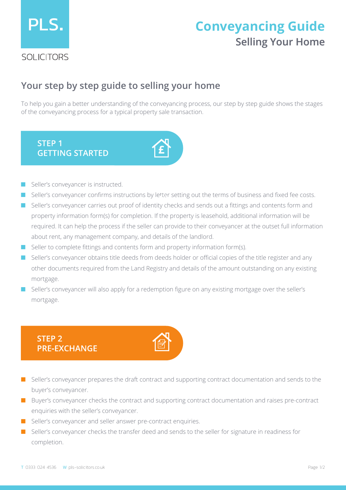

# **Selling Your Home Conveyancing Guide**

### **Your step by step guide to selling your home**

To help you gain a better understanding of the conveyancing process, our step by step guide shows the stages of the conveyancing process for a typical property sale transaction.



- Seller's conveyancer is instructed.
- Seller's conveyancer confirms instructions by letter setting out the terms of business and fixed fee costs.
- Seller's conveyancer carries out proof of identity checks and sends out a fittings and contents form and property information form(s) for completion. If the property is leasehold, additional information will be required. It can help the process if the seller can provide to their conveyancer at the outset full information about rent, any management company, and details of the landlord.
- Seller to complete fittings and contents form and property information form(s).
- Seller's conveyancer obtains title deeds from deeds holder or official copies of the title register and any other documents required from the Land Registry and details of the amount outstanding on any existing mortgage.
- Seller's conveyancer will also apply for a redemption figure on any existing mortgage over the seller's mortgage.

#### **STEP 2 PRE-EXCHANGE**



- Seller's conveyancer prepares the draft contract and supporting contract documentation and sends to the buyer's conveyancer.
- Buyer's conveyancer checks the contract and supporting contract documentation and raises pre-contract enquiries with the seller's conveyancer.
- Seller's conveyancer and seller answer pre-contract enquiries.
- Seller's conveyancer checks the transfer deed and sends to the seller for signature in readiness for completion.